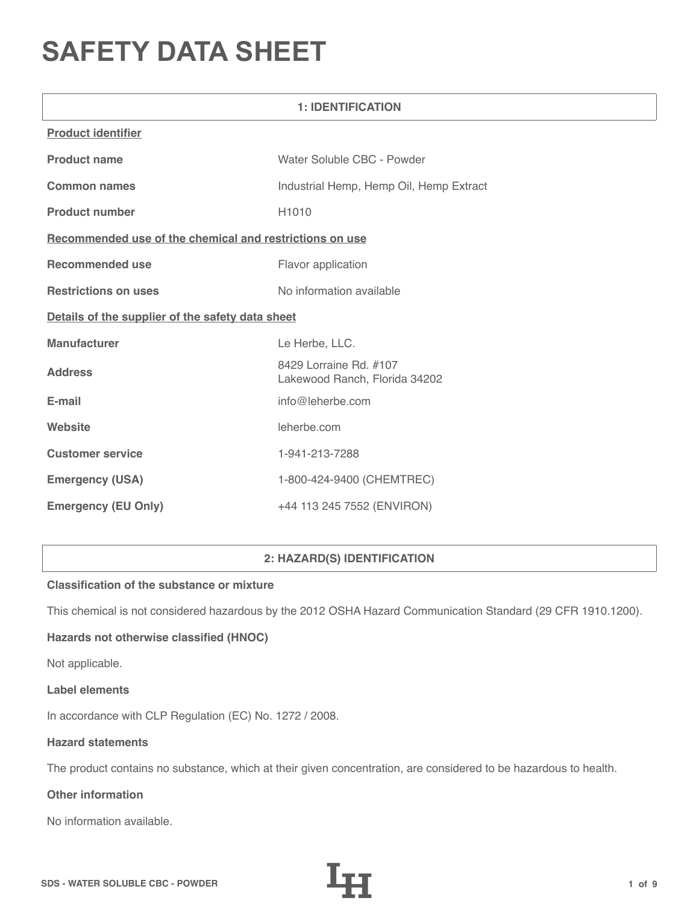# **SAFETY DATA SHEET**

| <b>1: IDENTIFICATION</b>                                |                                                         |  |  |
|---------------------------------------------------------|---------------------------------------------------------|--|--|
| <b>Product identifier</b>                               |                                                         |  |  |
| <b>Product name</b>                                     | Water Soluble CBC - Powder                              |  |  |
| <b>Common names</b>                                     | Industrial Hemp, Hemp Oil, Hemp Extract                 |  |  |
| <b>Product number</b>                                   | H1010                                                   |  |  |
| Recommended use of the chemical and restrictions on use |                                                         |  |  |
| <b>Recommended use</b>                                  | Flavor application                                      |  |  |
| <b>Restrictions on uses</b>                             | No information available                                |  |  |
| Details of the supplier of the safety data sheet        |                                                         |  |  |
| <b>Manufacturer</b>                                     | Le Herbe, LLC.                                          |  |  |
| <b>Address</b>                                          | 8429 Lorraine Rd. #107<br>Lakewood Ranch, Florida 34202 |  |  |
| E-mail                                                  | info@leherbe.com                                        |  |  |
| Website                                                 | leherbe.com                                             |  |  |
| <b>Customer service</b>                                 | 1-941-213-7288                                          |  |  |
| <b>Emergency (USA)</b>                                  | 1-800-424-9400 (CHEMTREC)                               |  |  |
| <b>Emergency (EU Only)</b>                              | +44 113 245 7552 (ENVIRON)                              |  |  |

# **2: HAZARD(S) IDENTIFICATION**

# **Classification of the substance or mixture**

This chemical is not considered hazardous by the 2012 OSHA Hazard Communication Standard (29 CFR 1910.1200).

# **Hazards not otherwise classified (HNOC)**

Not applicable.

#### **Label elements**

In accordance with CLP Regulation (EC) No. 1272 / 2008.

## **Hazard statements**

The product contains no substance, which at their given concentration, are considered to be hazardous to health.

# **Other information**

No information available.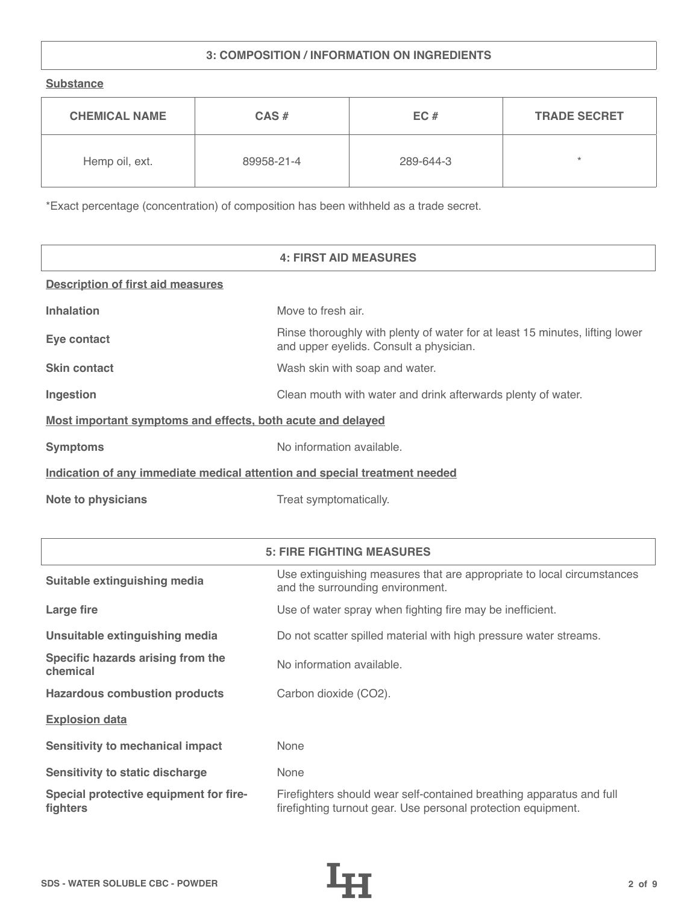# **3: COMPOSITION / INFORMATION ON INGREDIENTS**

**Substance**

| <b>CHEMICAL NAME</b> | $CAS \#$   | EC#       | <b>TRADE SECRET</b> |
|----------------------|------------|-----------|---------------------|
| Hemp oil, ext.       | 89958-21-4 | 289-644-3 | $\star$             |

\*Exact percentage (concentration) of composition has been withheld as a trade secret.

|                                                                            | <b>4: FIRST AID MEASURES</b>                                                                                            |  |  |
|----------------------------------------------------------------------------|-------------------------------------------------------------------------------------------------------------------------|--|--|
| <b>Description of first aid measures</b>                                   |                                                                                                                         |  |  |
| <b>Inhalation</b>                                                          | Move to fresh air.                                                                                                      |  |  |
| Eye contact                                                                | Rinse thoroughly with plenty of water for at least 15 minutes, lifting lower<br>and upper eyelids. Consult a physician. |  |  |
| <b>Skin contact</b>                                                        | Wash skin with soap and water.                                                                                          |  |  |
| Ingestion                                                                  | Clean mouth with water and drink afterwards plenty of water.                                                            |  |  |
| Most important symptoms and effects, both acute and delayed                |                                                                                                                         |  |  |
| <b>Symptoms</b>                                                            | No information available.                                                                                               |  |  |
| Indication of any immediate medical attention and special treatment needed |                                                                                                                         |  |  |
| <b>Note to physicians</b>                                                  | Treat symptomatically.                                                                                                  |  |  |

|                                                    | <b>5: FIRE FIGHTING MEASURES</b>                                                                                                      |
|----------------------------------------------------|---------------------------------------------------------------------------------------------------------------------------------------|
| Suitable extinguishing media                       | Use extinguishing measures that are appropriate to local circumstances<br>and the surrounding environment.                            |
| Large fire                                         | Use of water spray when fighting fire may be inefficient.                                                                             |
| Unsuitable extinguishing media                     | Do not scatter spilled material with high pressure water streams.                                                                     |
| Specific hazards arising from the<br>chemical      | No information available.                                                                                                             |
| <b>Hazardous combustion products</b>               | Carbon dioxide (CO2).                                                                                                                 |
| <b>Explosion data</b>                              |                                                                                                                                       |
| <b>Sensitivity to mechanical impact</b>            | None                                                                                                                                  |
| <b>Sensitivity to static discharge</b>             | None                                                                                                                                  |
| Special protective equipment for fire-<br>fighters | Firefighters should wear self-contained breathing apparatus and full<br>firefighting turnout gear. Use personal protection equipment. |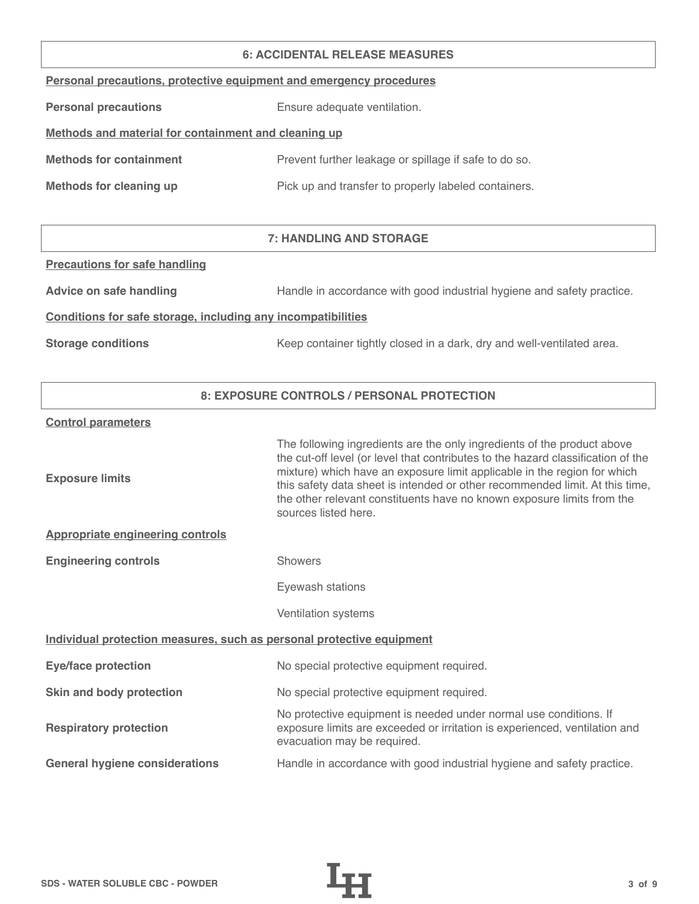#### **6: ACCIDENTAL RELEASE MEASURES**

|  |  | Personal precautions, protective equipment and emergency procedures |  |
|--|--|---------------------------------------------------------------------|--|
|  |  |                                                                     |  |

**Personal precautions** Ensure adequate ventilation.

# **Methods and material for containment and cleaning up**

| <b>Methods for containment</b> | Prevent further leakage or spillage if safe to do so. |
|--------------------------------|-------------------------------------------------------|
|                                |                                                       |

**Methods for cleaning up Pick up and transfer to properly labeled containers.** 

# **7: HANDLING AND STORAGE**

## **Precautions for safe handling**

Advice on safe handling **Handle in accordance with good industrial hygiene and safety practice.** 

## **Conditions for safe storage, including any incompatibilities**

**Storage conditions** Keep container tightly closed in a dark, dry and well-ventilated area.

# **8: EXPOSURE CONTROLS / PERSONAL PROTECTION**

#### **Control parameters**

| <b>Exposure limits</b>                                                | The following ingredients are the only ingredients of the product above<br>the cut-off level (or level that contributes to the hazard classification of the<br>mixture) which have an exposure limit applicable in the region for which<br>this safety data sheet is intended or other recommended limit. At this time,<br>the other relevant constituents have no known exposure limits from the<br>sources listed here. |  |  |
|-----------------------------------------------------------------------|---------------------------------------------------------------------------------------------------------------------------------------------------------------------------------------------------------------------------------------------------------------------------------------------------------------------------------------------------------------------------------------------------------------------------|--|--|
| <b>Appropriate engineering controls</b>                               |                                                                                                                                                                                                                                                                                                                                                                                                                           |  |  |
| <b>Engineering controls</b>                                           | <b>Showers</b>                                                                                                                                                                                                                                                                                                                                                                                                            |  |  |
|                                                                       | Eyewash stations                                                                                                                                                                                                                                                                                                                                                                                                          |  |  |
|                                                                       | Ventilation systems                                                                                                                                                                                                                                                                                                                                                                                                       |  |  |
| Individual protection measures, such as personal protective equipment |                                                                                                                                                                                                                                                                                                                                                                                                                           |  |  |
| <b>Eye/face protection</b>                                            | No special protective equipment required.                                                                                                                                                                                                                                                                                                                                                                                 |  |  |
| Skin and body protection                                              | No special protective equipment required.                                                                                                                                                                                                                                                                                                                                                                                 |  |  |
| <b>Respiratory protection</b>                                         | No protective equipment is needed under normal use conditions. If<br>exposure limits are exceeded or irritation is experienced, ventilation and<br>evacuation may be required.                                                                                                                                                                                                                                            |  |  |
| <b>General hygiene considerations</b>                                 | Handle in accordance with good industrial hygiene and safety practice.                                                                                                                                                                                                                                                                                                                                                    |  |  |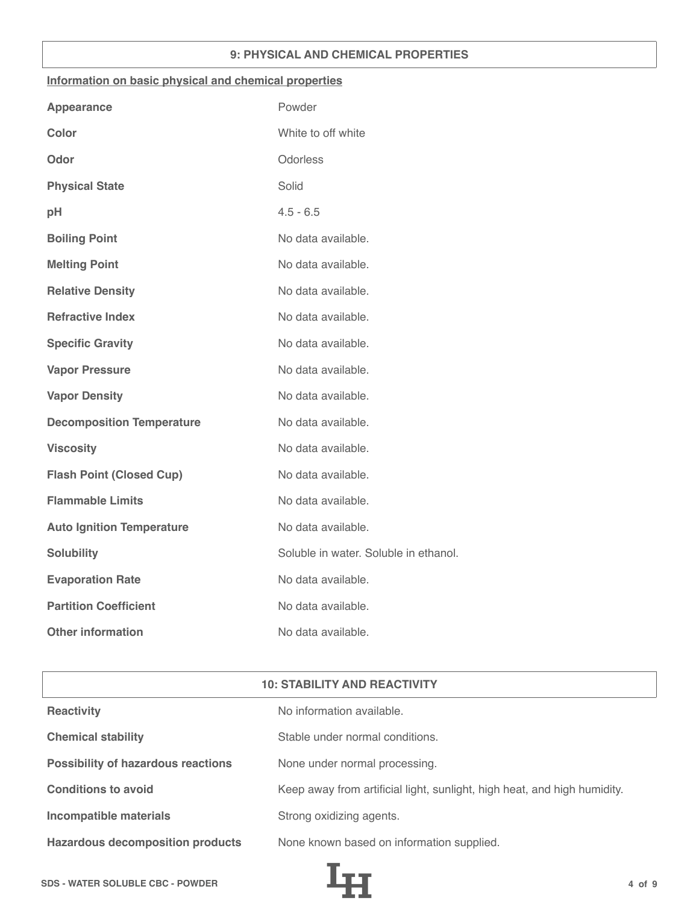## **9: PHYSICAL AND CHEMICAL PROPERTIES**

## **Information on basic physical and chemical properties**

| Powder                                |
|---------------------------------------|
| White to off white                    |
| Odorless                              |
| Solid                                 |
| $4.5 - 6.5$                           |
| No data available.                    |
| No data available.                    |
| No data available.                    |
| No data available.                    |
| No data available.                    |
| No data available.                    |
| No data available.                    |
| No data available.                    |
| No data available.                    |
| No data available.                    |
| No data available.                    |
| No data available.                    |
| Soluble in water. Soluble in ethanol. |
| No data available.                    |
| No data available.                    |
| No data available.                    |
|                                       |

| <b>10: STABILITY AND REACTIVITY</b>       |                                                                          |  |
|-------------------------------------------|--------------------------------------------------------------------------|--|
| <b>Reactivity</b>                         | No information available.                                                |  |
| <b>Chemical stability</b>                 | Stable under normal conditions.                                          |  |
| <b>Possibility of hazardous reactions</b> | None under normal processing.                                            |  |
| <b>Conditions to avoid</b>                | Keep away from artificial light, sunlight, high heat, and high humidity. |  |
| <b>Incompatible materials</b>             | Strong oxidizing agents.                                                 |  |
| <b>Hazardous decomposition products</b>   | None known based on information supplied.                                |  |

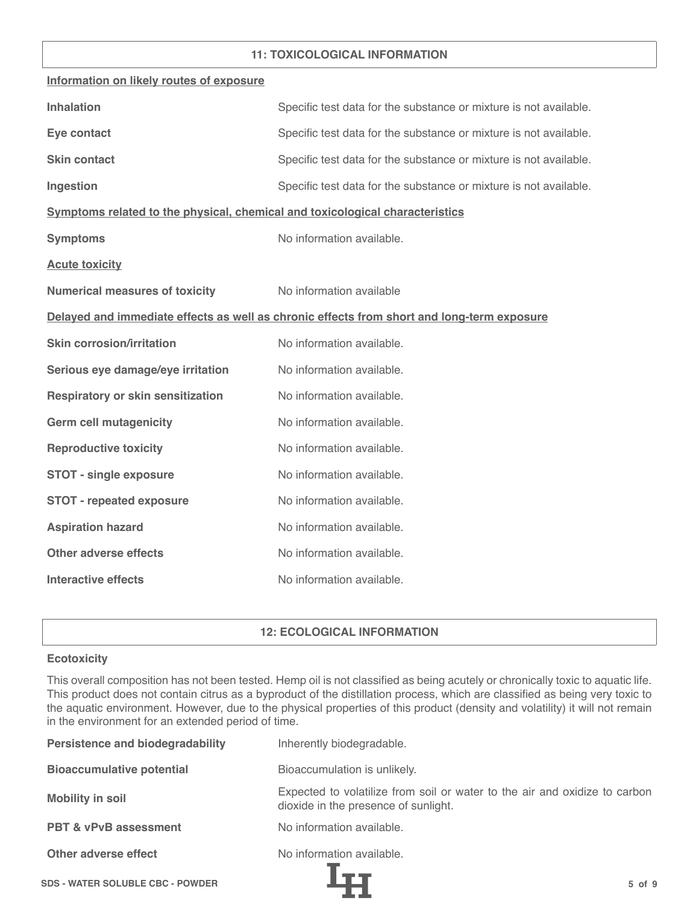## **11: TOXICOLOGICAL INFORMATION**

| Information on likely routes of exposure                                     |                                                                                            |
|------------------------------------------------------------------------------|--------------------------------------------------------------------------------------------|
| <b>Inhalation</b>                                                            | Specific test data for the substance or mixture is not available.                          |
| Eye contact                                                                  | Specific test data for the substance or mixture is not available.                          |
| <b>Skin contact</b>                                                          | Specific test data for the substance or mixture is not available.                          |
| Ingestion                                                                    | Specific test data for the substance or mixture is not available.                          |
| Symptoms related to the physical, chemical and toxicological characteristics |                                                                                            |
| <b>Symptoms</b>                                                              | No information available.                                                                  |
| <b>Acute toxicity</b>                                                        |                                                                                            |
| <b>Numerical measures of toxicity</b>                                        | No information available                                                                   |
|                                                                              | Delayed and immediate effects as well as chronic effects from short and long-term exposure |
| <b>Skin corrosion/irritation</b>                                             | No information available.                                                                  |
| Serious eye damage/eye irritation                                            | No information available.                                                                  |
| <b>Respiratory or skin sensitization</b>                                     | No information available.                                                                  |
| <b>Germ cell mutagenicity</b>                                                | No information available.                                                                  |
| <b>Reproductive toxicity</b>                                                 | No information available.                                                                  |
| <b>STOT - single exposure</b>                                                | No information available.                                                                  |
| <b>STOT - repeated exposure</b>                                              | No information available.                                                                  |
| <b>Aspiration hazard</b>                                                     | No information available.                                                                  |
| <b>Other adverse effects</b>                                                 | No information available.                                                                  |
| <b>Interactive effects</b>                                                   | No information available.                                                                  |

# **12: ECOLOGICAL INFORMATION**

## **Ecotoxicity**

This overall composition has not been tested. Hemp oil is not classified as being acutely or chronically toxic to aquatic life. This product does not contain citrus as a byproduct of the distillation process, which are classified as being very toxic to the aquatic environment. However, due to the physical properties of this product (density and volatility) it will not remain in the environment for an extended period of time.

| <b>Persistence and biodegradability</b> | Inherently biodegradable.                                                                                          |
|-----------------------------------------|--------------------------------------------------------------------------------------------------------------------|
| <b>Bioaccumulative potential</b>        | Bioaccumulation is unlikely.                                                                                       |
| <b>Mobility in soil</b>                 | Expected to volatilize from soil or water to the air and oxidize to carbon<br>dioxide in the presence of sunlight. |
| <b>PBT &amp; vPvB assessment</b>        | No information available.                                                                                          |
| Other adverse effect                    | No information available.                                                                                          |
| <b>SDS - WATER SOLUBLE CBC - POWDER</b> | $5$ of $9$                                                                                                         |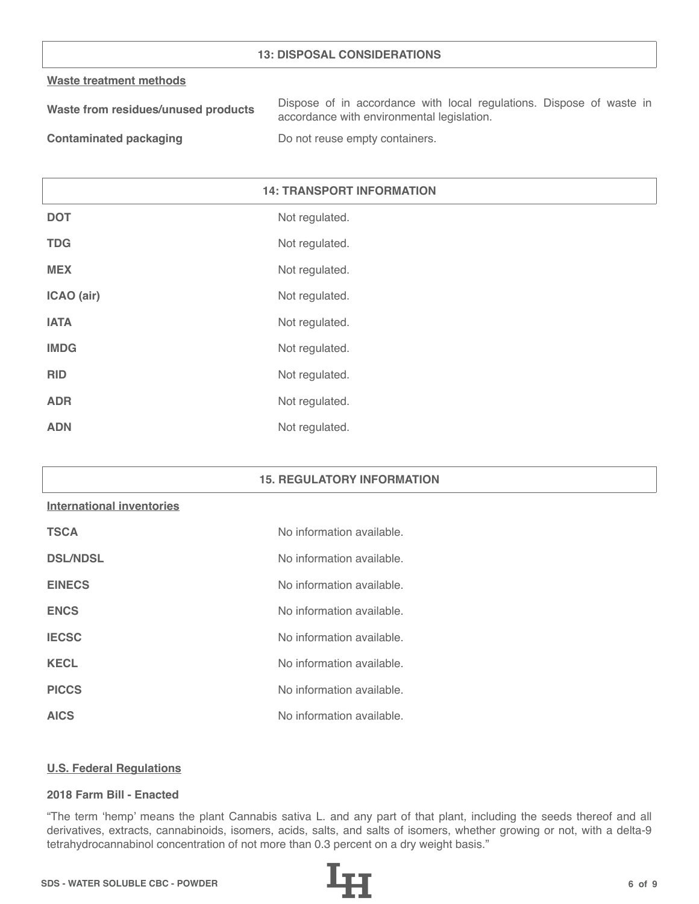## **13: DISPOSAL CONSIDERATIONS**

#### **Waste treatment methods**

| Waste from residues/unused products | Dispose of in accordance with local regulations. Dispose of waste in |
|-------------------------------------|----------------------------------------------------------------------|
|                                     | accordance with environmental legislation.                           |
|                                     |                                                                      |

**Contaminated packaging The Contaminated packaging Containers.** 

# **14: TRANSPORT INFORMATION**

| <b>DOT</b>  | Not regulated. |
|-------------|----------------|
| <b>TDG</b>  | Not regulated. |
| <b>MEX</b>  | Not regulated. |
| ICAO (air)  | Not regulated. |
| <b>IATA</b> | Not regulated. |
| <b>IMDG</b> | Not regulated. |
| <b>RID</b>  | Not regulated. |
| <b>ADR</b>  | Not regulated. |
| <b>ADN</b>  | Not regulated. |

#### **15. REGULATORY INFORMATION**

#### **International inventories**

| <b>TSCA</b>     | No information available. |
|-----------------|---------------------------|
| <b>DSL/NDSL</b> | No information available. |
| <b>EINECS</b>   | No information available. |
| <b>ENCS</b>     | No information available. |
| <b>IECSC</b>    | No information available. |
| <b>KECL</b>     | No information available. |
| <b>PICCS</b>    | No information available. |
| <b>AICS</b>     | No information available. |

#### **U.S. Federal Regulations**

#### **2018 Farm Bill - Enacted**

"The term 'hemp' means the plant Cannabis sativa L. and any part of that plant, including the seeds thereof and all derivatives, extracts, cannabinoids, isomers, acids, salts, and salts of isomers, whether growing or not, with a delta-9 tetrahydrocannabinol concentration of not more than 0.3 percent on a dry weight basis."

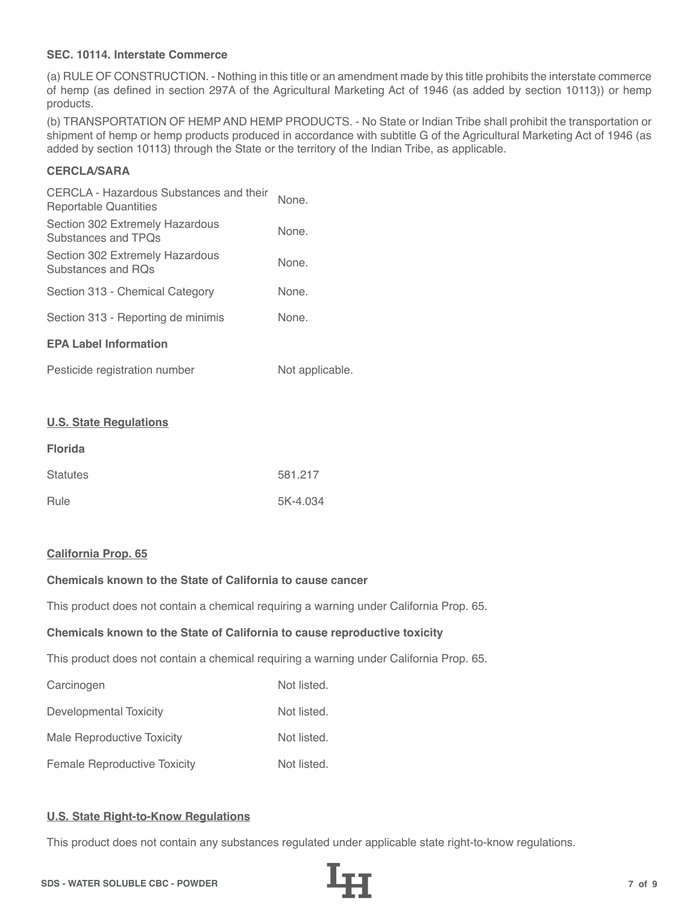## **SEC. 10114. Interstate Commerce**

(a) RULE OF CONSTRUCTION. - Nothing in this title or an amendment made by this title prohibits the interstate commerce of hemp (as defined in section 297A of the Agricultural Marketing Act of 1946 (as added by section 10113)) or hemp products.

(b) TRANSPORTATION OF HEMP AND HEMP PRODUCTS. - No State or Indian Tribe shall prohibit the transportation or shipment of hemp or hemp products produced in accordance with subtitle G of the Agricultural Marketing Act of 1946 (as added by section 10113) through the State or the territory of the Indian Tribe, as applicable.

# **CERCLA/SARA**

| CERCLA - Hazardous Substances and their<br>Reportable Quantities | None. |
|------------------------------------------------------------------|-------|
| Section 302 Extremely Hazardous<br>Substances and TPOs           | None. |
| Section 302 Extremely Hazardous<br>Substances and ROs            | None. |
| Section 313 - Chemical Category                                  | None. |
| Section 313 - Reporting de minimis                               | None. |
| <b>EPA Label Information</b>                                     |       |
|                                                                  |       |

| Pesticide registration number | Not applicable. |
|-------------------------------|-----------------|
|-------------------------------|-----------------|

#### **U.S. State Regulations**

| <b>Florida</b>  |          |
|-----------------|----------|
| <b>Statutes</b> | 581.217  |
| Rule            | 5K-4.034 |

#### **California Prop. 65**

# **Chemicals known to the State of California to cause cancer**

This product does not contain a chemical requiring a warning under California Prop. 65.

#### **Chemicals known to the State of California to cause reproductive toxicity**

This product does not contain a chemical requiring a warning under California Prop. 65.

| Carcinogen                          | Not listed. |
|-------------------------------------|-------------|
| Developmental Toxicity              | Not listed. |
| Male Reproductive Toxicity          | Not listed. |
| <b>Female Reproductive Toxicity</b> | Not listed. |

# **U.S. State Right-to-Know Regulations**

This product does not contain any substances regulated under applicable state right-to-know regulations.

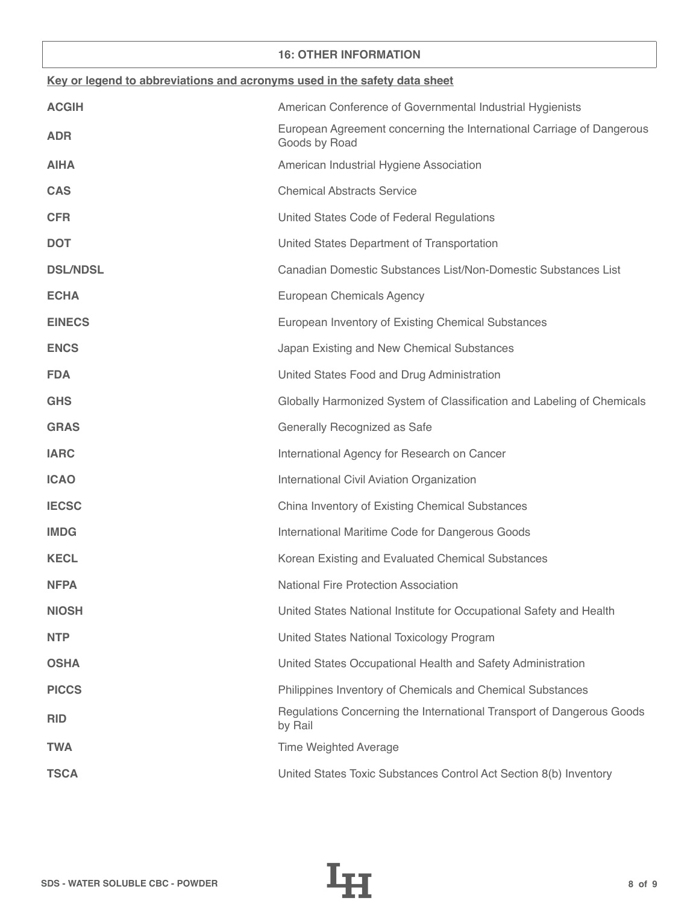## **16: OTHER INFORMATION**

| Key or legend to abbreviations and acronyms used in the safety data sheet |                                                                                        |  |
|---------------------------------------------------------------------------|----------------------------------------------------------------------------------------|--|
| <b>ACGIH</b>                                                              | American Conference of Governmental Industrial Hygienists                              |  |
| <b>ADR</b>                                                                | European Agreement concerning the International Carriage of Dangerous<br>Goods by Road |  |
| <b>AIHA</b>                                                               | American Industrial Hygiene Association                                                |  |
| <b>CAS</b>                                                                | <b>Chemical Abstracts Service</b>                                                      |  |
| <b>CFR</b>                                                                | United States Code of Federal Regulations                                              |  |
| <b>DOT</b>                                                                | United States Department of Transportation                                             |  |
| <b>DSL/NDSL</b>                                                           | Canadian Domestic Substances List/Non-Domestic Substances List                         |  |
| <b>ECHA</b>                                                               | European Chemicals Agency                                                              |  |
| <b>EINECS</b>                                                             | European Inventory of Existing Chemical Substances                                     |  |
| <b>ENCS</b>                                                               | Japan Existing and New Chemical Substances                                             |  |
| <b>FDA</b>                                                                | United States Food and Drug Administration                                             |  |
| <b>GHS</b>                                                                | Globally Harmonized System of Classification and Labeling of Chemicals                 |  |
| <b>GRAS</b>                                                               | Generally Recognized as Safe                                                           |  |
| <b>IARC</b>                                                               | International Agency for Research on Cancer                                            |  |
| <b>ICAO</b>                                                               | International Civil Aviation Organization                                              |  |
| <b>IECSC</b>                                                              | China Inventory of Existing Chemical Substances                                        |  |
| <b>IMDG</b>                                                               | International Maritime Code for Dangerous Goods                                        |  |
| <b>KECL</b>                                                               | Korean Existing and Evaluated Chemical Substances                                      |  |
| <b>NFPA</b>                                                               | <b>National Fire Protection Association</b>                                            |  |
| <b>NIOSH</b>                                                              | United States National Institute for Occupational Safety and Health                    |  |
| <b>NTP</b>                                                                | United States National Toxicology Program                                              |  |
| <b>OSHA</b>                                                               | United States Occupational Health and Safety Administration                            |  |
| <b>PICCS</b>                                                              | Philippines Inventory of Chemicals and Chemical Substances                             |  |
| <b>RID</b>                                                                | Regulations Concerning the International Transport of Dangerous Goods<br>by Rail       |  |
| <b>TWA</b>                                                                | <b>Time Weighted Average</b>                                                           |  |
| <b>TSCA</b>                                                               | United States Toxic Substances Control Act Section 8(b) Inventory                      |  |